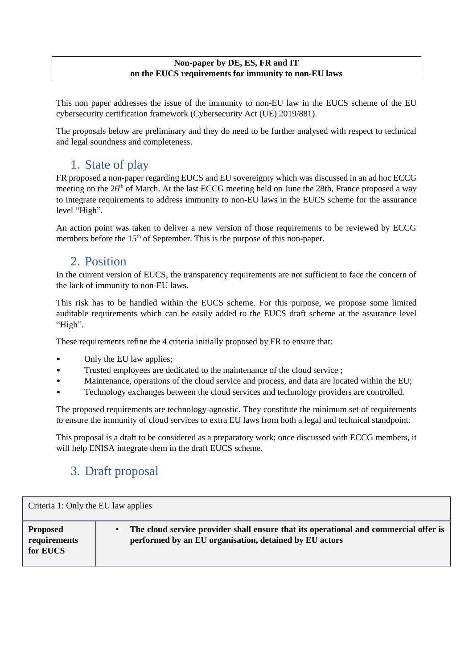#### **Non-paper by DE, ES, FR and IT on the EUCS requirements for immunity to non-EU laws**

This non paper addresses the issue of the immunity to non-EU law in the EUCS scheme of the EU cybersecurity certification framework (Cybersecurity Act (UE) 2019/881).

The proposals below are preliminary and they do need to be further analysed with respect to technical and legal soundness and completeness.

## 1. State of play

FR proposed a non-paper regarding EUCS and EU sovereignty which was discussed in an ad hoc ECCG meeting on the 26<sup>th</sup> of March. At the last ECCG meeting held on June the 28th, France proposed a way to integrate requirements to address immunity to non-EU laws in the EUCS scheme for the assurance level "High".

An action point was taken to deliver a new version of those requirements to be reviewed by ECCG members before the  $15<sup>th</sup>$  of September. This is the purpose of this non-paper.

### 2. Position

In the current version of EUCS, the transparency requirements are not sufficient to face the concern of the lack of immunity to non-EU laws.

This risk has to be handled within the EUCS scheme. For this purpose, we propose some limited auditable requirements which can be easily added to the EUCS draft scheme at the assurance level "High".

These requirements refine the 4 criteria initially proposed by FR to ensure that:

- Only the EU law applies;
- Trusted employees are dedicated to the maintenance of the cloud service ;
- Maintenance, operations of the cloud service and process, and data are located within the EU;
- Technology exchanges between the cloud services and technology providers are controlled.

The proposed requirements are technology-agnostic. They constitute the minimum set of requirements to ensure the immunity of cloud services to extra EU laws from both a legal and technical standpoint.

This proposal is a draft to be considered as a preparatory work; once discussed with ECCG members, it will help ENISA integrate them in the draft EUCS scheme.

## 3. Draft proposal

| Criteria 1: Only the EU law applies |                                                                                      |  |
|-------------------------------------|--------------------------------------------------------------------------------------|--|
| <b>Proposed</b>                     | The cloud service provider shall ensure that its operational and commercial offer is |  |
| requirements                        | $\bullet$                                                                            |  |
| for EUCS                            | performed by an EU organisation, detained by EU actors                               |  |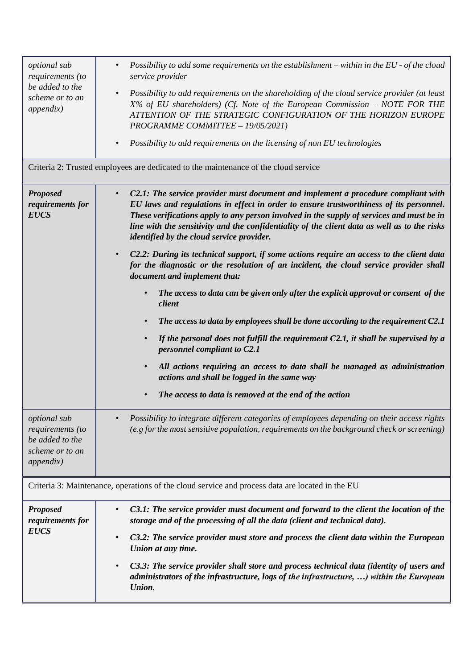| optional sub<br>requirements (to<br>be added to the<br>scheme or to an<br>appendix)             | Possibility to add some requirements on the establishment – within in the $EU$ - of the cloud<br>$\bullet$<br>service provider<br>Possibility to add requirements on the shareholding of the cloud service provider (at least<br>$\bullet$<br>$X\%$ of EU shareholders) (Cf. Note of the European Commission – NOTE FOR THE<br>ATTENTION OF THE STRATEGIC CONFIGURATION OF THE HORIZON EUROPE<br>PROGRAMME COMMITTEE - 19/05/2021)<br>Possibility to add requirements on the licensing of non EU technologies<br>$\bullet$                                                                                                                                                                                                                                                                                                                                                                                                                                                                                                                                                                                                                                                                                    |  |
|-------------------------------------------------------------------------------------------------|---------------------------------------------------------------------------------------------------------------------------------------------------------------------------------------------------------------------------------------------------------------------------------------------------------------------------------------------------------------------------------------------------------------------------------------------------------------------------------------------------------------------------------------------------------------------------------------------------------------------------------------------------------------------------------------------------------------------------------------------------------------------------------------------------------------------------------------------------------------------------------------------------------------------------------------------------------------------------------------------------------------------------------------------------------------------------------------------------------------------------------------------------------------------------------------------------------------|--|
| Criteria 2: Trusted employees are dedicated to the maintenance of the cloud service             |                                                                                                                                                                                                                                                                                                                                                                                                                                                                                                                                                                                                                                                                                                                                                                                                                                                                                                                                                                                                                                                                                                                                                                                                               |  |
| <b>Proposed</b><br>requirements for<br><b>EUCS</b>                                              | C2.1: The service provider must document and implement a procedure compliant with<br>$\bullet$<br>EU laws and regulations in effect in order to ensure trustworthiness of its personnel.<br>These verifications apply to any person involved in the supply of services and must be in<br>line with the sensitivity and the confidentiality of the client data as well as to the risks<br>identified by the cloud service provider.<br>C2.2: During its technical support, if some actions require an access to the client data<br>for the diagnostic or the resolution of an incident, the cloud service provider shall<br>document and implement that:<br>The access to data can be given only after the explicit approval or consent of the<br>$\bullet$<br>client<br>The access to data by employees shall be done according to the requirement C2.1<br>$\bullet$<br>If the personal does not fulfill the requirement $C2.1$ , it shall be supervised by a<br>personnel compliant to C2.1<br>All actions requiring an access to data shall be managed as administration<br>$\bullet$<br>actions and shall be logged in the same way<br>The access to data is removed at the end of the action<br>$\bullet$ |  |
| optional sub<br>requirements (to<br>be added to the<br>scheme or to an<br>appendix)             | Possibility to integrate different categories of employees depending on their access rights<br>$\bullet$<br>$(e, g)$ for the most sensitive population, requirements on the background check or screening)                                                                                                                                                                                                                                                                                                                                                                                                                                                                                                                                                                                                                                                                                                                                                                                                                                                                                                                                                                                                    |  |
| Criteria 3: Maintenance, operations of the cloud service and process data are located in the EU |                                                                                                                                                                                                                                                                                                                                                                                                                                                                                                                                                                                                                                                                                                                                                                                                                                                                                                                                                                                                                                                                                                                                                                                                               |  |
| <b>Proposed</b><br>requirements for<br><b>EUCS</b>                                              | C3.1: The service provider must document and forward to the client the location of the<br>$\bullet$<br>storage and of the processing of all the data (client and technical data).<br>C3.2: The service provider must store and process the client data within the European<br>$\bullet$<br>Union at any time.<br>C3.3: The service provider shall store and process technical data (identity of users and<br>$\bullet$<br>administrators of the infrastructure, logs of the infrastructure, ) within the European<br>Union.                                                                                                                                                                                                                                                                                                                                                                                                                                                                                                                                                                                                                                                                                   |  |